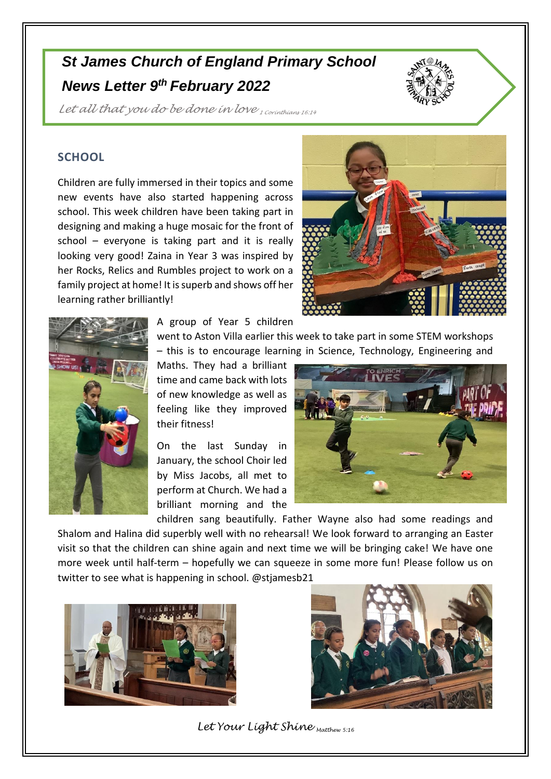## *St James Church of England Primary School News Letter 9 th February 2022*



Let all that you do be done in love *1 Corinthians 16:14* 

## **SCHOOL**

Children are fully immersed in their topics and some new events have also started happening across school. This week children have been taking part in designing and making a huge mosaic for the front of school – everyone is taking part and it is really looking very good! Zaina in Year 3 was inspired by her Rocks, Relics and Rumbles project to work on a family project at home! It is superb and shows off her learning rather brilliantly!





A group of Year 5 children

went to Aston Villa earlier this week to take part in some STEM workshops – this is to encourage learning in Science, Technology, Engineering and

Maths. They had a brilliant time and came back with lots of new knowledge as well as feeling like they improved their fitness!

On the last Sunday in January, the school Choir led by Miss Jacobs, all met to perform at Church. We had a brilliant morning and the



children sang beautifully. Father Wayne also had some readings and Shalom and Halina did superbly well with no rehearsal! We look forward to arranging an Easter visit so that the children can shine again and next time we will be bringing cake! We have one more week until half-term – hopefully we can squeeze in some more fun! Please follow us on twitter to see what is happening in school. @stjamesb21





*Let Your Light Shine Matthew 5:16*